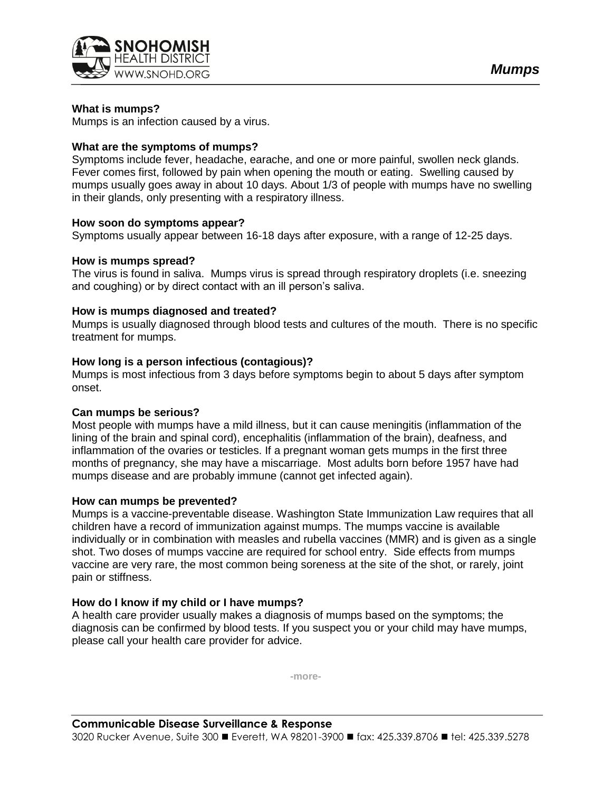

## **What is mumps?**

Mumps is an infection caused by a virus.

### **What are the symptoms of mumps?**

Symptoms include fever, headache, earache, and one or more painful, swollen neck glands. Fever comes first, followed by pain when opening the mouth or eating. Swelling caused by mumps usually goes away in about 10 days. About 1/3 of people with mumps have no swelling in their glands, only presenting with a respiratory illness.

#### **How soon do symptoms appear?**

Symptoms usually appear between 16-18 days after exposure, with a range of 12-25 days.

### **How is mumps spread?**

The virus is found in saliva. Mumps virus is spread through respiratory droplets (i.e. sneezing and coughing) or by direct contact with an ill person's saliva.

### **How is mumps diagnosed and treated?**

Mumps is usually diagnosed through blood tests and cultures of the mouth. There is no specific treatment for mumps.

### **How long is a person infectious (contagious)?**

Mumps is most infectious from 3 days before symptoms begin to about 5 days after symptom onset.

#### **Can mumps be serious?**

Most people with mumps have a mild illness, but it can cause meningitis (inflammation of the lining of the brain and spinal cord), encephalitis (inflammation of the brain), deafness, and inflammation of the ovaries or testicles. If a pregnant woman gets mumps in the first three months of pregnancy, she may have a miscarriage. Most adults born before 1957 have had mumps disease and are probably immune (cannot get infected again).

#### **How can mumps be prevented?**

Mumps is a vaccine-preventable disease. Washington State Immunization Law requires that all children have a record of immunization against mumps. The mumps vaccine is available individually or in combination with measles and rubella vaccines (MMR) and is given as a single shot. Two doses of mumps vaccine are required for school entry. Side effects from mumps vaccine are very rare, the most common being soreness at the site of the shot, or rarely, joint pain or stiffness.

# **How do I know if my child or I have mumps?**

A health care provider usually makes a diagnosis of mumps based on the symptoms; the diagnosis can be confirmed by blood tests. If you suspect you or your child may have mumps, please call your health care provider for advice.

**-more-**